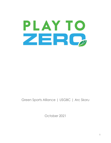# PLAY TO ZERC

# Green Sports Alliance | USGBC | Arc Skoru

October 2021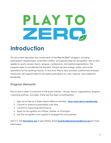# **The Contract of Street**

# <span id="page-1-0"></span>**Introduction**

This document describes the components of the **Play to Zero™** program, including participation requirements, evaluation criteria, and opportunities for recognition. Play to Zero applies to sports venues, teams, leagues, conferences, and related organizations. The program seeks to accelerate the transition toward net zero energy, water, and waste operations for the sporting industry. To that end, Play to Zero provides a performance-based framework with opportunities for all market participants to unite, improve, and celebrate leadership.

# <span id="page-1-1"></span>**Program Elements**

Play to Zero is open to *everyone* in the sports industry - venues, teams, organizations, leagues, corporate partners, and allies. There are five steps to participation:

- 1. Sign up for free as a Green Sports Alliance member **learn more about [membership](https://greensportsalliance.org/join/)**.
- 2. Commit to improve sustainability over time.
- 3. Commit to measuring performance.
- 4. Apply for recognition as a Player, Leader, or Champion.
- 5. Use the recognition and support to engage fans and partners.

*That's it.* Visit **[PlayToZero.org](http://www.playtozero.org)** to get started. Email **[analytics@greensportsalliance.org](mailto:analytics@greensportsalliance.org)** for more information.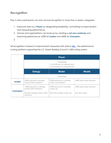# <span id="page-2-0"></span>**Recognition**

Play to Zero participants can earn annual recognition in more than a dozen categories:

- 1. Everyone starts as a **Player** by designating leadership, committing to improvement, and measuring performance.
- 2. Venues and organizations can level-up by creating a **net zero roadmap** and improving performance: ≥30% for **Leader** and ≥50% for **Champion**.
- 3.

All recognition is based on improvement measured with data in **[Arc](http://www.arcskoru.com)** - the performance scoring platform supporting the U.S. Green Building Council's LEED rating system.

|                 |                                                                            | Player                                               |                                  |
|-----------------|----------------------------------------------------------------------------|------------------------------------------------------|----------------------------------|
|                 | + Leadership<br>+ Commitment to improvement<br>+ Commitment to measurement |                                                      |                                  |
|                 | <b>Energy</b>                                                              | Water                                                | <b>Waste</b>                     |
|                 | + Roadmap                                                                  |                                                      |                                  |
| <b>Leader</b>   | $\geq$ 30% reduction in energy<br>and/or GHG emissions                     | $\geq$ 30% reduction in potable<br>water consumption | $\geq$ 30% solid waste diversion |
|                 | $\geq$ 50% reduction in energy<br>and/or GHG emissions                     | $\geq$ 50% reduction in potable<br>water use         | $\geq$ 50% solid waste diversion |
| <b>Champion</b> | Net zero energy and/or GHG<br>emissions                                    | Net zero potable water use                           | Net zero waste                   |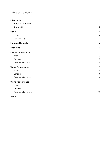### **I able of Contents**

| Introduction              | $\mathbf 2$               |
|---------------------------|---------------------------|
| Program Elements          | $\overline{2}$            |
| Recognition               | $\ensuremath{\mathsf{3}}$ |
| Player                    | $\sqrt{5}$                |
| Intent                    | $\sqrt{5}$                |
| Opportunity               | $\sqrt{5}$                |
| <b>Program Elements</b>   | $\pmb{6}$                 |
| Roadmap                   | 6                         |
| <b>Energy Performance</b> | $\overline{\mathbf{z}}$   |
| Intent                    | $\overline{7}$            |
| Criteria                  | $\overline{7}$            |
| Community Impact          | 8                         |
| <b>Water Performance</b>  | 9                         |
| Intent                    | 9                         |
| Criteria                  | 9                         |
| Community Impact          | 10                        |
| <b>Waste Performance</b>  | 11                        |
| Intent                    | 11                        |
| Criteria                  | 11                        |
| Community Impact          | 12                        |
| About                     | 12                        |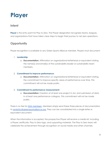# <span id="page-4-0"></span>**Player**

# <span id="page-4-1"></span>**Intent**

**Player** is the entry point for Play to Zero. The Player designation recognizes teams, leagues, and organizations that have taken clear steps to begin their journey to net zero operations.

# <span id="page-4-2"></span>**Opportunity**

Player recognition is available to any Green Sports Alliance member. Players must document:

### 1. **Leadership:**

a. **Documentation:** Affirmation on organizational letterhead or equivalent stating the name(s) and email(s) of the sustainability leader or sustainability team members.

### 2. **Commitment to improve performance:**

a. **Documentation:** Affirmation on organizational letterhead or equivalent stating the commitment to improve specific areas of performance over time. This commitment will not be made public.

### 3. **Commitment to performance measurement:**

a. **Documentation:** Creation of at least one project in Arc and submission of data in at least one performance category. This commitment will not be made public.

There is no fee for **GSA [members](https://greensportsalliance.org/join/)**. Members simply send these three pieces of documentation to [analytics@greensportsalliance.org.](mailto:analytics@greensportsalliance.org) They can be consolidated into a single letter or equivalent document.

When the information is accepted, the prospective Player will receive a media kit, including a Player certificate, Play to Zero logo, and supporting materials. The Play to Zero team will celebrate the achievement through recognition on social media and other channels.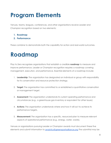# <span id="page-5-0"></span>**Program Elements**

Venues, teams, leagues, conferences, and other organizations receive Leader and Champion recognition based on two elements:

- **1. Roadmap**
- **2. Performance**

These combine to demonstrate both the capability for action and real-world outcomes.

# <span id="page-5-1"></span>**Roadmap**

Play to Zero recognizes organizations that establish a credible **roadmap** to measure and improve performance. Leader or Champion recognition requires a roadmap covering management, execution, and performance. Essential elements of a roadmap include:

- 1. **Leadership:** The organization has designated an individual or group with responsibility for its conservation and resource protection strategy.
- 2. **Target:** The organization has committed to or established a quantitative conservation or management target.
- 3. **Assessment:** The organization understands its current operating performance and circumstances (e.g., a greenhouse gas inventory or equivalent for other issues)
- 4. **Actions:** The organization understands where and how it will act to achieve its performance targets.
- 5. **Measurement:** The organization has a specific, resourced-plan to measure relevant aspects of operational performance (e.g., energy, water, waste).

Venues or organizations pursuing Leader or Champion awards must document these five elements and submit information to [analytics@greensportsalliance.org](mailto:analytics@greensportsalliance.org) The submittal may be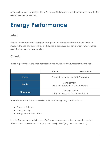a single document or multiple items. The transmittal email should clearly indicate how to find evidence for each element.

# <span id="page-6-0"></span>**Energy Performance**

# <span id="page-6-1"></span>**Intent**

Play to Zero Leader and Champion recognition for energy celebrate actions taken to increase the use of clean energy and reduce greenhouse gas emissions in venues, across organizations, and in communities.

# <span id="page-6-2"></span>**Criteria**

This Energy category provides participants with multiple opportunities for recognition:

|                 | Venue                                                     | Organization |
|-----------------|-----------------------------------------------------------|--------------|
| <b>Player</b>   | Prerequisite for Leader and Champion                      |              |
| <b>Leader</b>   | Management +<br>$\geq$ 30% net reduction in GHG emissions |              |
| <b>Champion</b> | Management +<br>$\geq$ 50% net reduction in GHG emissions |              |

The reductions listed above may be achieved through any combination of

- Energy efficiency
- Energy supply
- Energy or emissions offsets

Play to Zero recommends the use of a 1-year baseline and a 1-year reporting period. Alternative comparisons can be proposed and justified (e.g., season-to-season).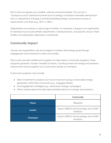Play to Zero recognizes any credible, well-documented baseline. This can be a "business-as-usual" performance level (such as energy or emissions intensities derived from the U.S. Department of Energy Commercial Building Energy Consumption Survey) or improvement over time (e.g., 2019 vs. 2021).

Organizations encompass a wide range of entities. For example, a league is an organization. Its members may include athletic departments, individual teams, and specific venues. These entities can participate collectively or individually.

# <span id="page-7-0"></span>**Community Impact**

Venues and organizations are encouraged to achieve their energy goals through engagement and investment in their communities.

Play to Zero provides additional recognition for high-impact community programs. These programs generate "double" benefits for teams, counting toward net energy and emissions improvement and recognition as a Community Leader or Champion.

Community programs may include:

- Direct investment in projects such as low-income housing or renewable energy generation within their community (e.g., engaged offsets).
- Fan-engagement strategies (e.g., behavioral change campaigns).
- Other creative ideas that yield demonstrable impacts on energy and emissions.

|                 | <b>Community</b>                                     |
|-----------------|------------------------------------------------------|
| <b>Player</b>   | Required                                             |
| <b>Leader</b>   | Impact ≥30% of annual energy use or GHG<br>emissions |
| <b>Champion</b> | Impact ≥50% of annual energy use or GHG<br>emissions |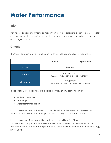# <span id="page-8-0"></span>**Water Performance**

### <span id="page-8-1"></span>**Intent**

Play to Zero Leader and Champion recognition for water celebrate action to promote water conservation, water restoration, and water resource management in sporting venues and across organizations.

# <span id="page-8-2"></span>**Criteria**

The Water category provides participants with multiple opportunities for recognition:

|                 | Venue                                                   | Organization |
|-----------------|---------------------------------------------------------|--------------|
| <b>Player</b>   | Required                                                |              |
| <b>Leader</b>   | Management +<br>≥30% net reduction in potable water use |              |
| <b>Champion</b> | Management +<br>≥50% net reduction in potable water use |              |

The reductions listed above may be achieved through any combination of

- Water conservation
- Water supply
- Water restoration credits

Play to Zero recommends the use of a 1-year baseline and a 1-year reporting period. Alternative comparison can be proposed and justified (e.g., season-to-season).

Play to Zero recognizes any credible, well-documented baseline. This can be a "business-as-usual" performance level (such as water or water use intensities based on code-compliance or a measured performance benchmark) or improvement over time (e.g., 2019 vs. 2021).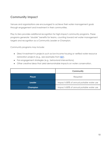# <span id="page-9-0"></span>**Community Impact**

Venues and organizations are encouraged to achieve their water management goals through engagement and investment in their communities.

Play to Zero provides additional recognition for high-impact community programs. These programs generate "double" benefits for teams, counting toward net water management targets and recognition as a Community Leader or Champion.

Community programs may include:

- Direct investment in projects such as low-income housing or verified water resource restoration projects (e.g., see examples from **[BEF](http://www.b-e-f.org/environmental-projects-and-programs/wrc-projects/all/)**).
- Fan-engagement strategies (e.g., behavioral interventions).
- Other creative ideas that yield demonstrable impacts on water conservation.

|                 | <b>Community</b>                        |
|-----------------|-----------------------------------------|
| <b>Player</b>   | Required                                |
| Leader          | Impact ≥30% of annual potable water use |
| <b>Champion</b> | Impact ≥50% of annual potable water use |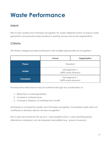# <span id="page-10-0"></span>**Waste Performance**

### <span id="page-10-1"></span>**Intent**

Play to Zero Leader and Champion recognition for waste celebrate action to reduce waste generation and promote waste diversion in sporting venues and across organizations.

# <span id="page-10-2"></span>**Criteria**

The Waste category provides participants with multiple opportunities for recognition:

|                 | Venue                                | Organization |
|-----------------|--------------------------------------|--------------|
| <b>Player</b>   | Required                             |              |
| <b>Leader</b>   | Management +<br>≥30% waste diversion |              |
| <b>Champion</b> | Management +<br>≥50% waste diversion |              |

The reductions listed above may be achieved through any combination of:

- 1. Reduction in waste generation
- 2. Increase in material reuse
- 3. Increase in diversion of materials from landfill

All diversion is included for Leader and Champion recognition. Incinerated waste does not contribute to diversion rate for net zero recognition.

Play to Zero recommends the use of a 1-year baseline and a 1-year reporting period. Alternative comparison can be proposed and justified (e.g., season-to-season).